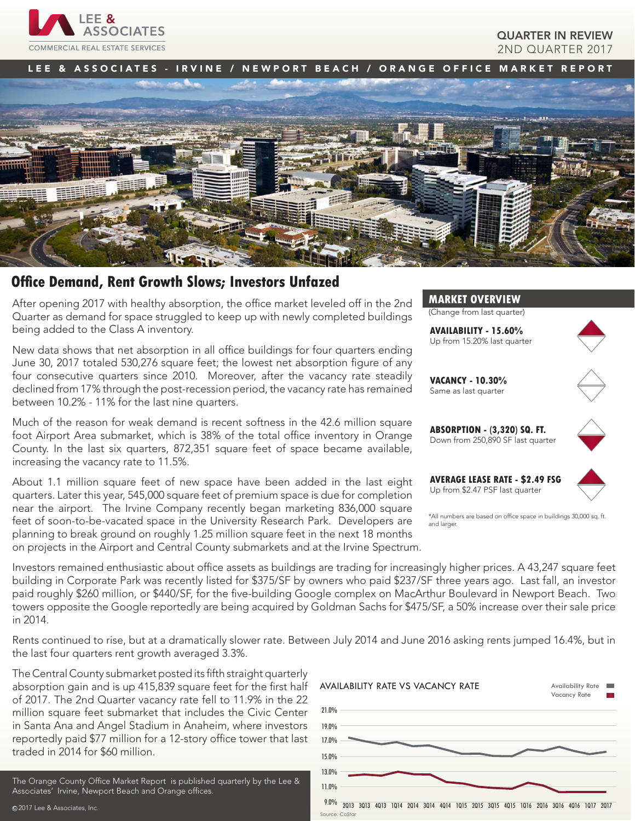

## QUARTER IN REVIEW 2ND QUARTER 2017

LEE & ASSOCIATES - IRVINE / NEWPORT BEACH / ORANGE OFFICE MARKET REPORT



# **Office Demand, Rent Growth Slows; Investors Unfazed**

After opening 2017 with healthy absorption, the office market leveled off in the 2nd Quarter as demand for space struggled to keep up with newly completed buildings being added to the Class A inventory.

New data shows that net absorption in all office buildings for four quarters ending June 30, 2017 totaled 530,276 square feet; the lowest net absorption figure of any four consecutive quarters since 2010. Moreover, after the vacancy rate steadily declined from 17% through the post-recession period, the vacancy rate has remained between 10.2% - 11% for the last nine quarters.

Much of the reason for weak demand is recent softness in the 42.6 million square foot Airport Area submarket, which is 38% of the total office inventory in Orange County. In the last six quarters, 872,351 square feet of space became available, increasing the vacancy rate to 11.5%.

About 1.1 million square feet of new space have been added in the last eight quarters. Later this year, 545,000 square feet of premium space is due for completion near the airport. The Irvine Company recently began marketing 836,000 square feet of soon-to-be-vacated space in the University Research Park. Developers are planning to break ground on roughly 1.25 million square feet in the next 18 months on projects in the Airport and Central County submarkets and at the Irvine Spectrum.



(Change from last quarter)

**AVAILABILITY - 15.60%** Up from 15.20% last quarter



**VACANCY - 10.30%** Same as last quarter



**AVERAGE LEASE RATE - \$2.49 FSG** Up from \$2.47 PSF last quarter



\*All numbers are based on office space in buildings 30,000 sq. ft. and larger

Investors remained enthusiastic about office assets as buildings are trading for increasingly higher prices. A 43,247 square feet building in Corporate Park was recently listed for \$375/SF by owners who paid \$237/SF three years ago. Last fall, an investor paid roughly \$260 million, or \$440/SF, for the five-building Google complex on MacArthur Boulevard in Newport Beach. Two towers opposite the Google reportedly are being acquired by Goldman Sachs for \$475/SF, a 50% increase over their sale price in 2014.

Rents continued to rise, but at a dramatically slower rate. Between July 2014 and June 2016 asking rents jumped 16.4%, but in the last four quarters rent growth averaged 3.3%.

The Central County submarket posted its fifth straight quarterly absorption gain and is up 415,839 square feet for the first half of 2017. The 2nd Quarter vacancy rate fell to 11.9% in the 22 million square feet submarket that includes the Civic Center in Santa Ana and Angel Stadium in Anaheim, where investors reportedly paid \$77 million for a 12-story office tower that last traded in 2014 for \$60 million.

The Orange County Office Market Report is published quarterly by the Lee & Associates' Irvine, Newport Beach and Orange offices.

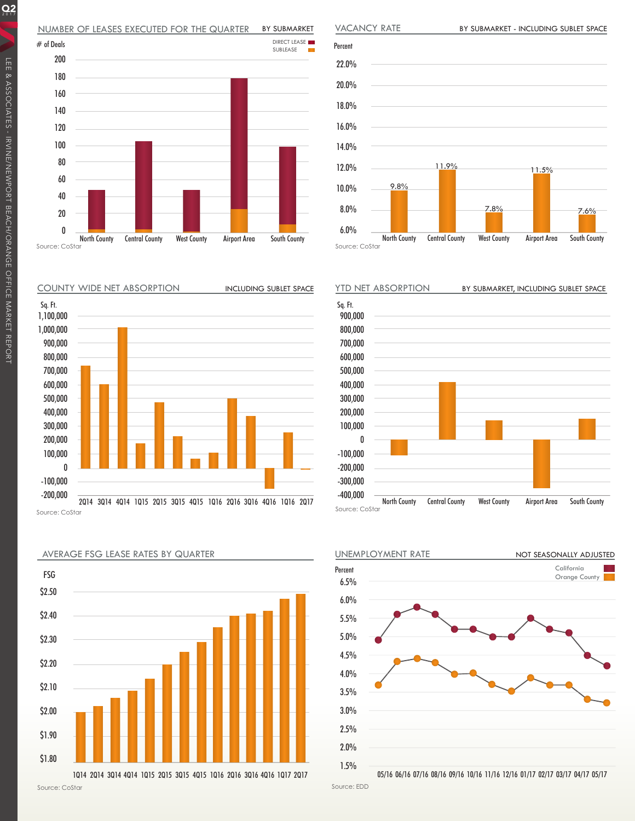## NUMBER OF LEASES EXECUTED FOR THE QUARTER BY SUBMARKET





BY SUBMARKET - INCLUDING SUBLET SPACE

Source: CoStar











05/16 06/16 07/16 08/16 09/16 10/16 11/16 12/16 01/17 02/17 03/17 04/17 05/17

Source: EDD

 $Q_2$ 





AVERAGE FSG LEASE RATES BY QUARTER

Source: CoStar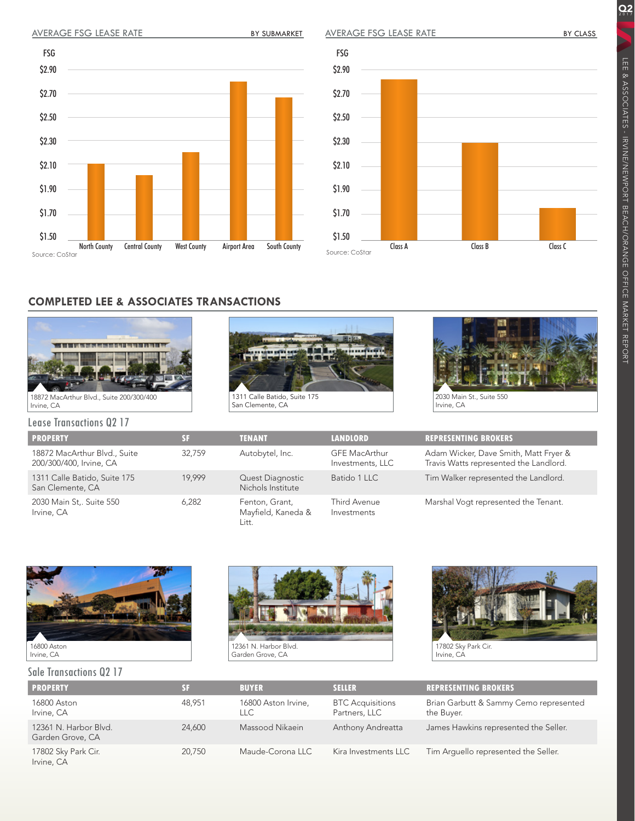\$2.90

FSG

\$2.70

\$2.50

\$2.30

\$2.10

\$1.90

\$1.70

\$1.50

Source: CoStar

AVERAGE FSG LEASE RATE

\$2.90

FSG

\$2.70

\$2.50

\$2.30

\$2.10

\$1.90

\$1.70

\$1.50

LEE & ASSOCIATES - IRVINE/NEWPORT BEACH/ORANGE OFFICE MARKET REPORT

LEE & ASSOCIATES - IRVINE/NEWPORT BEACH/ORANGE OFFICE MARKET REPORT

Q<sub>2</sub>



# **COMPLETED LEE & ASSOCIATES TRANSACTIONS**

North County Central County West County Airport Area South County







Irvine, CA

Lease Transactions Q2 17 **PROPERTY SF TENANT LANDLORD REPRESENTING BROKERS** 18872 MacArthur Blvd., Suite 200/300/400, Irvine, CA 32,759 Autobytel, Inc. GFE MacArthur Investments, LLC Adam Wicker, Dave Smith, Matt Fryer & Travis Watts represented the Landlord. 1311 Calle Batido, Suite 175 San Clemente, CA 19,999 Quest Diagnostic Nichols Institute Batido 1 LLC Tim Walker represented the Landlord. 2030 Main St,. Suite 550 Irvine, CA 6,282 Fenton, Grant, Mayfield, Kaneda & Litt. Third Avenue Investments Marshal Vogt represented the Tenant.



#### Sale Transactions Q2 17





| <b>PROPERTY</b>                           |        | <b>BUYER</b>               | <b>SELLER</b>                            | <b>REPRESENTING BROKERS</b>                          |
|-------------------------------------------|--------|----------------------------|------------------------------------------|------------------------------------------------------|
| 16800 Aston<br>Irvine, CA                 | 48.951 | 16800 Aston Irvine,<br>LLC | <b>BTC</b> Acquisitions<br>Partners, LLC | Brian Garbutt & Sammy Cemo represented<br>the Buyer. |
| 12361 N. Harbor Blvd.<br>Garden Grove, CA | 24,600 | Massood Nikaein            | Anthony Andreatta                        | James Hawkins represented the Seller.                |
| 17802 Sky Park Cir.<br>Irvine, CA         | 20.750 | Maude-Corona LLC           | Kira Investments LLC                     | Tim Arquello represented the Seller.                 |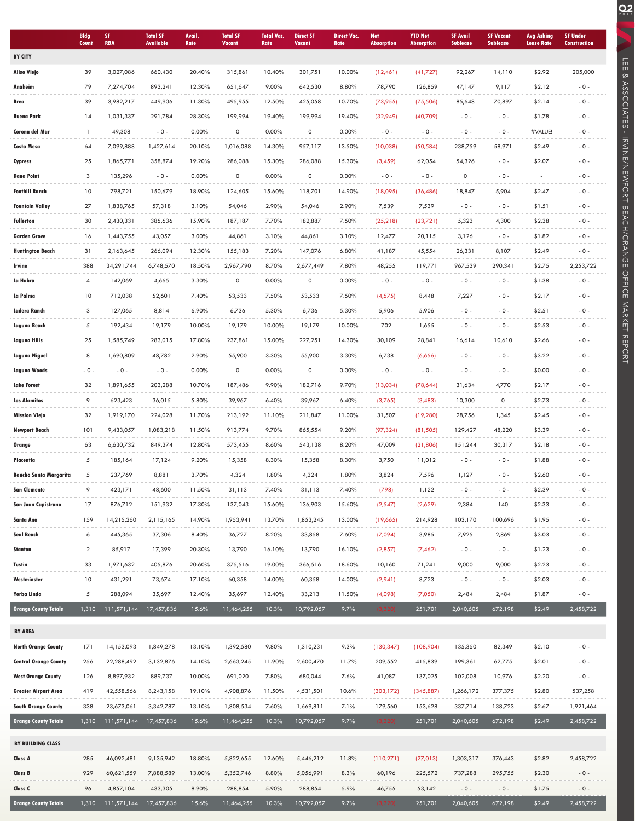|                                                    | <b>Bldg</b><br>Count | SF.<br><b>RBA</b>        | <b>Total SF</b><br><b>Available</b> | Avail.<br>Rate   | <b>Total SF</b><br>Vacant | <b>Total Vac.</b><br>Rate | <b>Direct SF</b><br><b>Vacant</b> | <b>Direct Vac.</b><br>Rate | <b>Net</b><br><b>Absorption</b> | <b>YTD Net</b><br><b>Absorption</b> | <b>SF Avail</b><br><b>Sublease</b> | <b>SF Vacant</b><br><b>Sublease</b> | Avg Asking<br><b>Lease Rate</b> | <b>SF Under</b><br><b>Construction</b> |
|----------------------------------------------------|----------------------|--------------------------|-------------------------------------|------------------|---------------------------|---------------------------|-----------------------------------|----------------------------|---------------------------------|-------------------------------------|------------------------------------|-------------------------------------|---------------------------------|----------------------------------------|
| <b>BY CITY</b>                                     |                      |                          |                                     |                  |                           |                           |                                   |                            |                                 |                                     |                                    |                                     |                                 |                                        |
| <b>Aliso Viejo</b>                                 | 39                   | 3,027,086                | 660,430                             | 20.40%           | 315,861                   | 10.40%                    | 301,751                           | 10.00%                     | (12,461)                        | (41,727)                            | 92,267                             | 14,110                              | \$2.92                          | 205,000                                |
| Anaheim                                            | 79                   | 7,274,704                | 893,241                             | 12.30%           | 651,647                   | 9.00%                     | 642,530                           | 8.80%                      | 78,790                          | 126,859                             | 47,147                             | 9,117                               | \$2.12                          | $-0-$                                  |
| Brea                                               | 39                   | 3,982,217                | 449,906                             | 11.30%           | 495,955                   | 12.50%                    | 425,058                           | 10.70%                     | (73, 955)                       | (75, 506)                           | 85,648                             | 70,897                              | \$2.14                          | $-0-$                                  |
| <b>Buena Park</b>                                  | 14                   | 1,031,337                | 291,784                             | 28.30%           | 199,994                   | 19.40%                    | 199,994                           | 19.40%                     | (32,949)                        | (40,709)                            | $-0 -$                             | $-0-$                               | \$1.78                          | $-0-$                                  |
| Corona del Mar                                     | $\mathbf{1}$         | 49,308                   | $-0 -$                              | $0.00\%$         | $\mathsf{O}\xspace$       | $0.00\%$                  | 0                                 | 0.00%                      | $-0 -$                          | $-0 -$                              | $-0 -$                             | $-0-$                               | #VALUE!                         | $-0 -$                                 |
| <b>Costa Mesa</b>                                  | 64                   | 7,099,888                | 1,427,614                           | 20.10%           | 1,016,088                 | 14.30%                    | 957,117                           | 13.50%                     | (10,038)                        | (50, 584)                           | 238,759                            | 58,971                              | \$2.49                          | $-0-$                                  |
| Cypress                                            | 25                   | 1,865,771                | 358,874                             | 19.20%           | 286,088                   | 15.30%                    | 286,088                           | 15.30%                     | (3, 459)                        | 62,054                              | 54,326                             | $-0-$                               | \$2.07                          | $-0-$                                  |
| <b>Dana Point</b>                                  | 3                    | 135,296                  | $-0 -$                              | 0.00%            | 0                         | 0.00%                     | 0                                 | $0.00\%$                   | $-0-$                           | $-0-$                               | 0                                  | $-0-$                               |                                 | $-0-$                                  |
| <b>Foothill Ranch</b>                              | 10                   | 798,721                  | 150,679                             | 18.90%           | 124,605                   | 15.60%                    | 118,701                           | 14.90%                     | (18,095)                        | (36, 486)                           | 18,847                             | 5,904                               | \$2.47                          | $-0-$                                  |
| <b>Fountain Valley</b>                             | 27                   | 1,838,765                | 57,318                              | 3.10%            | 54,046                    | 2.90%                     | 54,046                            | 2.90%                      | 7,539                           | 7,539                               | $-0 -$                             | $-0-$                               | \$1.51                          | $-0-$                                  |
| <b>Fullerton</b>                                   | 30                   | 2,430,331                | 385,636                             | 15.90%           | 187,187                   | 7.70%                     | 182,887                           | 7.50%                      | (25, 218)                       | (23,721)                            | 5,323                              | 4,300                               | \$2.38                          | $-0-$                                  |
| Garden Grove                                       | 16                   | 1,443,755                | 43,057                              | 3.00%            | 44,861                    | 3.10%                     | 44,861                            | 3.10%                      | 12,477                          | 20,115                              | 3,126                              | $-0-$                               | \$1.82                          | $-0-$                                  |
| <b>Huntington Beach</b>                            | 31                   | 2,163,645                | 266,094                             | 12.30%           | 155,183                   | 7.20%                     | 147,076                           | 6.80%                      | 41,187                          | 45,554                              | 26,331                             | 8,107                               | \$2.49                          | $-0-$                                  |
| Irvine                                             | 388                  | 34, 291, 744             | 6,748,570                           | 18.50%           | 2,967,790                 | 8.70%                     | 2,677,449                         | 7.80%                      | 48,255                          | 119,771                             | 967,539                            | 290,341                             | \$2.75                          | 2,253,722                              |
| La Habra                                           | 4                    | 142,069                  | 4,665                               | 3.30%            | $\mathsf{O}\xspace$       | $0.00\%$                  | 0                                 | 0.00%                      | $-0 -$                          | $-0-$                               | $-0 -$                             | $-0-$                               | \$1.38                          | $-0-$                                  |
| La Palma                                           | 10                   | 712,038                  | 52,601                              | 7.40%            | 53,533                    | 7.50%                     | 53,533                            | 7.50%                      | (4, 575)                        | 8,448                               | 7,227                              | $-0 -$                              | \$2.17                          | $-0 -$                                 |
| Ladera Ranch                                       | 3                    | 127,065                  | 8,814                               | 6.90%            | 6,736                     | 5.30%                     | 6,736                             | 5.30%                      | 5,906                           | 5,906                               | $-0 -$                             | $-0 -$                              | \$2.51                          | $-0-$                                  |
| Laguna Beach                                       | 5                    | 192,434                  | 19,179                              | 10.00%           | 19,179                    | 10.00%                    | 19,179                            | 10.00%                     | 702                             | 1,655                               | $-0 -$                             | $-0 -$                              | \$2.53                          | $-0-$                                  |
| Laguna Hills                                       | 25                   | 1,585,749                | 283,015                             | 17.80%           | 237,861                   | 15.00%                    | 227,251                           | 14.30%                     | 30,109                          | 28,841                              | 16,614                             | 10,610                              | \$2.66                          | $-0-$                                  |
| Laguna Niguel                                      | 8                    | 1,690,809                | 48,782                              | 2.90%            | 55,900                    | 3.30%                     | 55,900                            | 3.30%                      | 6,738                           | (6,656)                             | $-0 -$                             | $-0-$                               | \$3.22                          | $-0-$                                  |
| <b>Laguna Woods</b>                                | $-0 -$               | $-0 -$                   | $-0 -$                              | 0.00%            | 0                         | 0.00%                     | 0                                 | $0.00\%$                   | $-0 -$                          | $-0-$                               | $-0 -$                             | $-0-$                               | \$0.00                          | $-0 -$                                 |
| <b>Lake Forest</b>                                 | 32                   | 1,891,655                | 203,288                             | 10.70%           | 187,486                   | 9.90%                     | 182,716                           | 9.70%                      | (13,034)                        | (78, 644)                           | 31,634                             | 4,770                               | \$2.17                          | $-0-$                                  |
| <b>Los Alamitos</b>                                | 9                    | 623,423                  | 36,015                              | 5.80%            | 39,967                    | 6.40%                     | 39,967                            | 6.40%                      | (3,765)                         | (3,483)                             | 10,300                             | $\circ$                             | \$2.73                          | $-0-$                                  |
| Mission Viejo                                      | 32                   | 1,919,170                | 224,028                             | 11.70%           | 213,192                   | 11.10%                    | 211,847                           | 11.00%                     | 31,507                          | (19, 280)                           | 28,756                             | 1,345                               | \$2.45                          | $-0-$                                  |
| Newport Beach                                      | 101                  | 9,433,057                | 1,083,218                           | 11.50%           | 913,774                   | 9.70%                     | 865,554                           | 9.20%                      | (97, 324)                       | (81, 505)                           | 129,427                            | 48,220                              | \$3.39                          | $-0-$                                  |
| Orange                                             | 63                   | 6,630,732                | 849,374                             | 12.80%           | 573,455                   | 8.60%                     | 543,138                           | 8.20%                      | 47,009                          | (21, 806)                           | 151,244                            | 30,317                              | \$2.18                          | $-0-$                                  |
| Placentia                                          | 5                    | 185,164                  | 17,124                              | 9.20%            | 15,358                    | 8.30%                     | 15,358                            | 8.30%                      | 3,750                           | 11,012                              | $-0 -$                             | $-0-$                               | \$1.88                          | $-0-$                                  |
| <b>Rancho Santa Margarita</b>                      | 5                    | 237,769                  | 8,881                               | 3.70%            | 4,324                     | 1.80%                     | 4,324                             | 1.80%                      | 3,824                           | 7,596                               | 1,127                              | $-0 -$                              | \$2.60                          | $-0-$                                  |
| <b>San Clemente</b>                                | $\circ$              | 423,171                  | 48,600                              | 11.50%           | 31,113                    | 7.40%                     | 31,113                            | 7.40%                      | (798)                           | 1,122                               | $-0 -$                             | $-0-$                               | \$2.39                          | $-0-$                                  |
| <b>San Juan Capistrano</b>                         | 17                   | 876,712                  | 151,932                             | 17.30%           | 137,043                   | 15.60%                    | 136,903                           | 15.60%                     | (2,547)                         | (2,629)                             | 2,384                              | 140                                 | \$2.33                          | $-0 -$                                 |
| <b>Santa Ana</b>                                   | 159                  | 14,215,260               | 2,115,165                           | 14.90%           | 1,953,941                 | 13.70%                    | 1,853,245                         | 13.00%                     | (19,665)                        | 214,928                             | 103,170                            | 100,696                             | \$1.95                          | $-0 -$                                 |
| Seal Beach                                         | 6                    | 445,365                  | 37,306                              | 8.40%            | 36,727                    | 8.20%                     | 33,858                            | 7.60%                      | (7,094)                         | 3,985                               | 7,925                              | 2,869                               | \$3.03                          | $-0-$                                  |
| Stanton                                            | $\overline{2}$       | 85,917                   | 17,399                              | 20.30%           | 13,790                    | 16.10%                    | 13,790                            | 16.10%                     | (2,857)                         | (7, 462)                            | $-0 -$                             | $-0 -$                              | \$1.23                          | $-0 -$                                 |
| Tustin                                             | 33                   | 1,971,632                | 405,876                             | 20.60%           | 375,516                   | 19.00%                    | 366,516                           | 18.60%                     | 10,160                          | 71,241                              | 9,000                              | 9,000                               | \$2.23                          | $-0 -$                                 |
| Westminster                                        | 10                   | 431,291                  | 73,674                              | 17.10%           | 60,358                    | 14.00%                    | 60,358                            | 14.00%                     | (2,941)                         | 8,723                               | $-0 -$                             | $-0 -$                              | \$2.03                          | $-0-$                                  |
| Yorba Linda                                        | 5                    | 288,094                  | 35,697                              | 12.40%           | 35,697                    | 12.40%                    | 33,213                            | 11.50%                     | (4,098)                         | (7,050)                             | 2,484                              | 2,484                               | \$1.87                          | $-0 -$                                 |
| <b>Orange County Totals</b>                        | 1,310                | 111,571,144              | 17,457,836                          | 15.6%            | 11,464,255                | 10.3%                     | 10,792,057                        | 9.7%                       | (3, 320)                        | 251,701                             | 2,040,605                          | 672,198                             | \$2.49                          | 2,458,722                              |
|                                                    |                      |                          |                                     |                  |                           |                           |                                   |                            |                                 |                                     |                                    |                                     |                                 |                                        |
| <b>BY AREA</b><br><b>North Orange County</b>       | 171                  | 14,153,093               | 1,849,278                           | 13.10%           | 1,392,580                 | 9.80%                     | 1,310,231                         | 9.3%                       | (130, 347)                      | (108,904)                           | 135,350                            | 82,349                              | \$2.10                          | $-0-$                                  |
|                                                    |                      | 22,288,492               |                                     |                  |                           |                           |                                   | 11.7%                      |                                 |                                     |                                    |                                     | \$2.01                          | $-0 -$                                 |
| <b>Central Orange County</b><br>West Orange County | 256<br>126           | 8,897,932                | 3,132,876<br>889,737                | 14.10%<br>10.00% | 2,663,245<br>691,020      | 11.90%<br>7.80%           | 2,600,470<br>680,044              | 7.6%                       | 209,552<br>41,087               | 415,839<br>137,025                  | 199,361<br>102,008                 | 62,775<br>10,976                    | \$2.20                          | $-0 -$                                 |
|                                                    |                      |                          |                                     |                  |                           |                           |                                   |                            |                                 |                                     |                                    |                                     |                                 |                                        |
| Greater Airport Area<br><b>South Orange County</b> | 419<br>338           | 42,558,566<br>23,673,061 | 8,243,158<br>3,342,787              | 19.10%<br>13.10% | 4,908,876<br>1,808,534    | 11.50%<br>7.60%           | 4,531,501<br>1,669,811            | 10.6%<br>7.1%              | (303, 172)<br>179,560           | (345, 887)<br>153,628               | 1,266,172<br>337,714               | 377,375<br>138,723                  | \$2.80<br>\$2.67                | 537,258<br>1,921,464                   |
| <b>Orange County Totals</b>                        | 1,310                | 111,571,144              | 17,457,836                          | 15.6%            | 11,464,255                | 10.3%                     | 10,792,057                        | 9.7%                       | (3, 320)                        | 251,701                             | 2,040,605                          | 672,198                             | \$2.49                          | 2,458,722                              |
|                                                    |                      |                          |                                     |                  |                           |                           |                                   |                            |                                 |                                     |                                    |                                     |                                 |                                        |
| <b>BY BUILDING CLASS</b>                           |                      |                          |                                     |                  |                           |                           |                                   |                            |                                 |                                     |                                    |                                     |                                 |                                        |
| Class A                                            | 285                  | 46,092,481               | 9,135,942                           | 18.80%           | 5,822,655                 | 12.60%                    | 5,446,212                         | 11.8%                      | (110, 271)                      | (27,013)                            | 1,303,317                          | 376,443                             | \$2.82                          | 2,458,722                              |
| Class B                                            | 929                  | 60,621,559               | 7,888,589                           | 13.00%           | 5,352,746                 | 8.80%                     | 5,056,991                         | 8.3%                       | 60,196                          | 225,572                             | 737,288                            | 295,755                             | \$2.30                          | $-0 -$                                 |
| Class C                                            | 96                   | 4,857,104                | 433,305                             | 8.90%            | 288,854                   | 5.90%                     | 288,854                           | 5.9%                       | 46,755                          | 53,142                              | $-0 -$                             | $-0 -$                              | \$1.75                          | $-0 -$                                 |
| <b>Orange County Totals</b>                        | 1,310                | 111,571,144              | 17,457,836                          | 15.6%            | 11,464,255                | 10.3%                     | 10,792,057                        | 9.7%                       | (3, 320)                        | 251,701                             | 2,040,605                          | 672,198                             | \$2.49                          | 2,458,722                              |

LEE & ASSOCIATES - IRVINE/NEWPORT BEACH/ORANGE OFFICE MARKET REPORT

LEE & ASSOCIATES - IRVINE/NEWPORT BEACH/ORANGE OFFICE MARKET REPORT

**Q2** 

 $\overline{\phantom{a}}$ ×